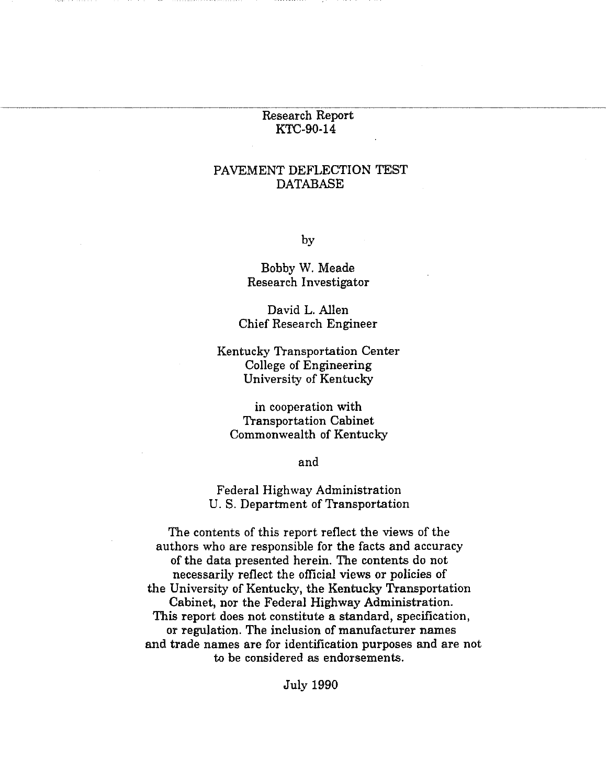#### Research Report KTC-90-14

### PAVEMENT DEFLECTION TEST DATABASE

by

Bobby W. Meade Research Investigator

David L. Allen Chief Research Engineer

Kentucky Transportation Center College of Engineering University of Kentucky

in cooperation with Transportation Cabinet Commonwealth of Kentucky

and

Federal Highway Administration U.S. Department of Transportation

The contents of this report reflect the views of the authors who are responsible for the facts and accuracy of the data presented herein. The contents do not necessarily reflect the official views or policies of the University of Kentucky, the Kentucky Transportation Cabinet, nor the Federal Highway Administration. This report does not constitute a standard, specification, or regulation. The inclusion of manufacturer names and trade names are for identification purposes and are not to be considered as endorsements.

July 1990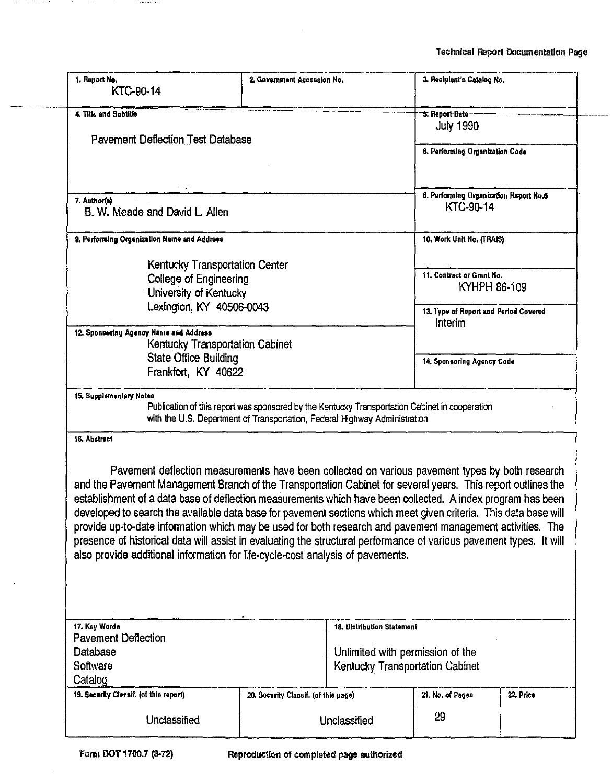| 1. Report No.<br>KTC-90-14                                                                                                                                                                                                                                                                                                                                                                                                                                                                                                                                                                                                                                                                                                                                                | 2. Government Accession No.          |                                                                                                   | 3. Recipient's Catalog No.                                                                    |           |  |  |  |
|---------------------------------------------------------------------------------------------------------------------------------------------------------------------------------------------------------------------------------------------------------------------------------------------------------------------------------------------------------------------------------------------------------------------------------------------------------------------------------------------------------------------------------------------------------------------------------------------------------------------------------------------------------------------------------------------------------------------------------------------------------------------------|--------------------------------------|---------------------------------------------------------------------------------------------------|-----------------------------------------------------------------------------------------------|-----------|--|--|--|
| 4. Title and Subtitle                                                                                                                                                                                                                                                                                                                                                                                                                                                                                                                                                                                                                                                                                                                                                     |                                      |                                                                                                   | <b>5. Report Date</b><br><b>July 1990</b>                                                     |           |  |  |  |
| <b>Pavement Deflection Test Database</b>                                                                                                                                                                                                                                                                                                                                                                                                                                                                                                                                                                                                                                                                                                                                  |                                      |                                                                                                   | 6. Performing Organization Code                                                               |           |  |  |  |
| 7. Author(e)<br>B. W. Meade and David L. Allen                                                                                                                                                                                                                                                                                                                                                                                                                                                                                                                                                                                                                                                                                                                            |                                      |                                                                                                   | 8. Performing Organization Report No.6<br>KTC-90-14                                           |           |  |  |  |
| 9. Performing Organization Name and Address                                                                                                                                                                                                                                                                                                                                                                                                                                                                                                                                                                                                                                                                                                                               |                                      |                                                                                                   | 10. Work Unit No. (TRAIS)                                                                     |           |  |  |  |
| Kentucky Transportation Center<br><b>College of Engineering</b><br>University of Kentucky<br>Lexington, KY 40506-0043                                                                                                                                                                                                                                                                                                                                                                                                                                                                                                                                                                                                                                                     |                                      |                                                                                                   | 11. Contract or Grant No.<br>KYHPR 86-109<br>13. Type of Report and Period Covered<br>Interim |           |  |  |  |
| 12. Sponsoring Agency Name and Address<br>Kentucky Transportation Cabinet<br><b>State Office Building</b><br>Frankfort, KY 40622                                                                                                                                                                                                                                                                                                                                                                                                                                                                                                                                                                                                                                          |                                      |                                                                                                   | 14. Sponsoring Agency Code                                                                    |           |  |  |  |
| 15. Supplementary Notes<br>Publication of this report was sponsored by the Kentucky Transportation Cabinet in cooperation<br>with the U.S. Department of Transportation, Federal Highway Administration<br>16. Abstract                                                                                                                                                                                                                                                                                                                                                                                                                                                                                                                                                   |                                      |                                                                                                   |                                                                                               |           |  |  |  |
| Pavement deflection measurements have been collected on various pavement types by both research<br>and the Pavement Management Branch of the Transportation Cabinet for several years. This report outlines the<br>establishment of a data base of deflection measurements which have been collected. A index program has been<br>developed to search the available data base for pavement sections which meet given criteria. This data base will<br>provide up-to-date information which may be used for both research and pavement management activities. The<br>presence of historical data will assist in evaluating the structural performance of various pavement types. It will<br>also provide additional information for life-cycle-cost analysis of pavements. |                                      |                                                                                                   |                                                                                               |           |  |  |  |
| 17. Key Words<br><b>Pavement Deflection</b><br>Database<br>Software<br>Catalog                                                                                                                                                                                                                                                                                                                                                                                                                                                                                                                                                                                                                                                                                            |                                      | 18. Distribution Statement<br>Unlimited with permission of the<br>Kentucky Transportation Cabinet |                                                                                               |           |  |  |  |
| 19. Security Classif. (of this report)                                                                                                                                                                                                                                                                                                                                                                                                                                                                                                                                                                                                                                                                                                                                    | 20. Security Classif. (of this page) |                                                                                                   | 21. No. of Pages                                                                              | 22. Price |  |  |  |
| Unclassified                                                                                                                                                                                                                                                                                                                                                                                                                                                                                                                                                                                                                                                                                                                                                              |                                      | Unclassified                                                                                      | 29                                                                                            |           |  |  |  |

 $\ddot{\phantom{a}}$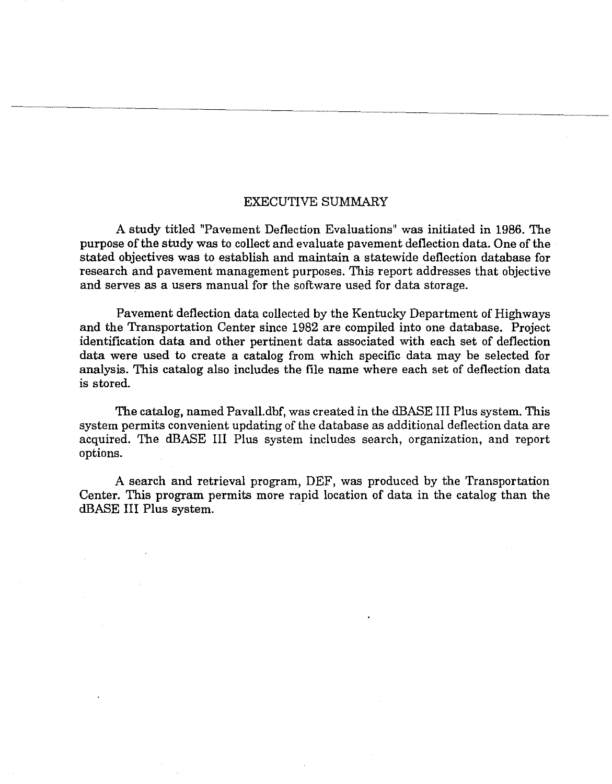#### EXECUTIVE SUMMARY

A study titled "Pavement Deflection Evaluations" was initiated in 1986. The purpose of the study was to collect and evaluate pavement deflection data. One of the stated objectives was to establish and maintain a statewide deflection database for research and pavement management purposes. This report addresses that objective and serves as a users manual for the software used for data storage.

Pavement deflection data collected by the Kentucky Department of Highways and the Transportation Center since 1982 are compiled into one database. Project identification data and other pertinent data associated with each set of deflection data were used to create a catalog from which specific data may be selected for analysis. This catalog also includes the file name where each set of deflection data is stored.

The catalog, named Pavall.dbf, was created in the dBASE III Plus system. This system permits convenient updating of the database as additional deflection data are acquired. The dBASE III Plus system includes search, organization, and report options.

A search and retrieval program, DEF, was produced by the Transportation Center. This program permits more rapid location of data in the catalog than the dBASE III Plus system.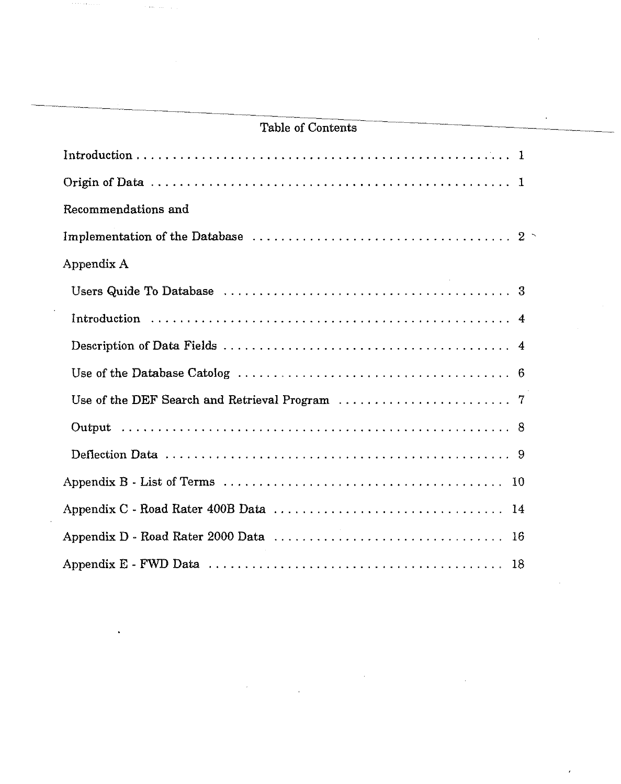| tanic yi vulitelite                                                                       |  |
|-------------------------------------------------------------------------------------------|--|
|                                                                                           |  |
|                                                                                           |  |
| Recommendations and                                                                       |  |
|                                                                                           |  |
| Appendix A                                                                                |  |
|                                                                                           |  |
|                                                                                           |  |
|                                                                                           |  |
|                                                                                           |  |
| Use of the DEF Search and Retrieval Program $\ldots \ldots \ldots \ldots \ldots \ldots$ 7 |  |
|                                                                                           |  |
|                                                                                           |  |
|                                                                                           |  |
|                                                                                           |  |
|                                                                                           |  |
|                                                                                           |  |

# Table of Contents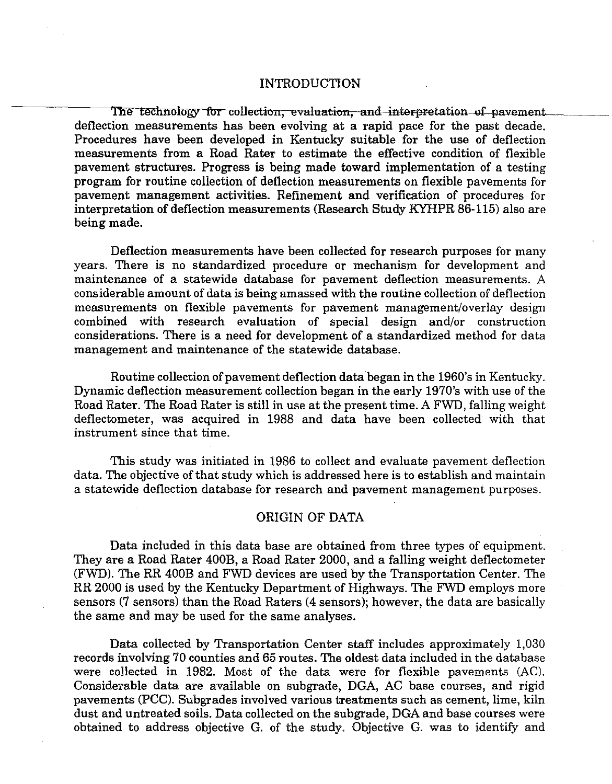#### INTRODUCTION

The technology for collection, evaluation, and interpretation of pavement. deflection measurements has been evolving at a rapid pace for the past decade. Procedures have been developed in Kentucky suitable for the use of deflection measurements from a Road Rater to estimate the effective condition of flexible pavement structures. Progress is being made toward implementation of a testing program for routine collection of deflection measurements on flexible pavements for pavement management activities. Refinement and verification of procedures for interpretation of deflection measurements (Research Study KYHPR 86-115) also are being made.

Deflection measurements have been collected for research purposes for many years. There is no standardized procedure or mechanism for development and maintenance of a statewide database for pavement deflection measurements. A considerable amount of data is being amassed with the routine collection of deflection measurements on flexible pavements for pavement management/overlay design combined with research evaluation of special design and/or construction considerations. There is a need for development of a standardized method for data management and maintenance of the statewide database.

Routine collection of pavement deflection data began in the 1960's in Kentucky. Dynamic deflection measurement collection began in the early 1970's with use of the Road Rater. The Road Rater is still in use at the present time. A FWD, falling weight deflectometer, was acquired in 1988 and data have been collected with that instrument since that time.

This study was initiated in 1986 to collect and evaluate pavement deflection data. The objective of that study which is addressed here is to establish and maintain a statewide deflection database for research and pavement management purposes.

#### ORIGIN OF DATA

Data included in this data base are obtained from three types of equipment. They are a Road Rater 400B, a Road Rater 2000, and a falling weight deflectometer (FWD). The RR 400B and FWD devices are used by the Transportation Center. The RR 2000 is used by the Kentucky Department of Highways. The FWD employs more sensors (7 sensors) than the Road Raters (4 sensors); however, the data are basically the same and may be used for the same analyses.

Data collected by Transportation Center staff includes approximately 1,030 records involving 70 counties and 65 routes. The oldest data included in the database were collected in 1982. Most of the data were for flexible pavements (AC). Considerable data are available on subgrade, DGA, AC base courses, and rigid pavements (PCC). Subgrades involved various treatments such as cement, lime, kiln dust and untreated soils. Data collected on the subgrade, DGA and base courses were obtained to address objective G. of the study. Objective G. was to identify and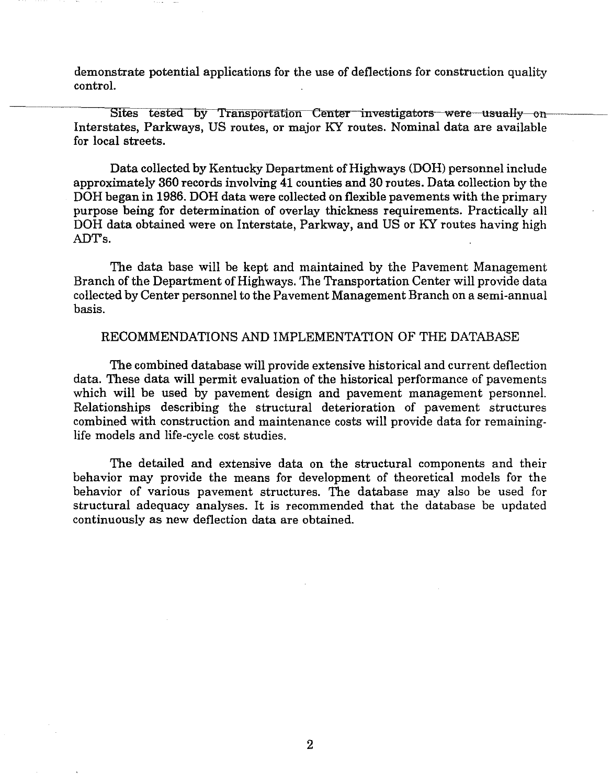demonstrate potential applications for the use of deflections for construction quality control.

Sites tested by Transportation Center investigators were usually on Interstates, Parkways, US routes, or major KY routes. Nominal data are available for local streets.

Data collected by Kentucky Department of Highways (DOH) personnel include approximately 360 records involving 41 counties and 30 routes. Data collection by the DOH began in 1986. DOH data were collected on flexible pavements with the primary purpose being for determination of overlay thickness requirements. Practically all DOH data obtained were on Interstate, Parkway, and US or KY routes having high ADTs.

The data base will be kept and maintained by the Pavement Management Branch of the Department of Highways. The Transportation Center will provide data collected by Center personnel to the Pavement Management Branch on a semi-annual basis.

#### RECOMMENDATIONS AND IMPLEMENTATION OF THE DATABASE

The combined database will provide extensive historical and current deflection data. These data will permit evaluation of the historical performance of pavements which will be used by pavement design and pavement management personnel. Relationships describing the structural deterioration of pavement structures combined with construction and maintenance costs will provide data for remaininglife models and life-cycle cost studies.

The detailed and extensive data on the structural components and their behavior may provide the means for development of theoretical models for the behavior of various pavement structures. The database may also be used for structural adequacy analyses. It is recommended that the database be updated continuously as new deflection data are obtained.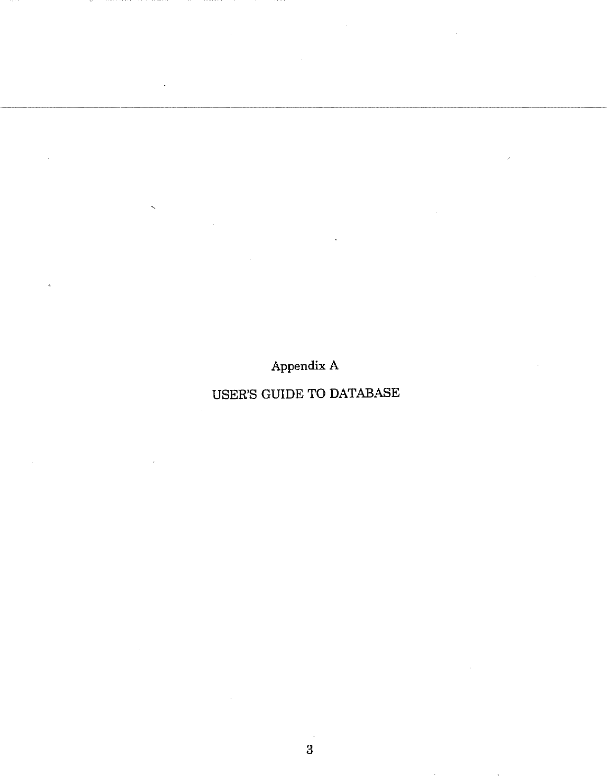Appendix A

# USER'S GUIDE TO DATABASE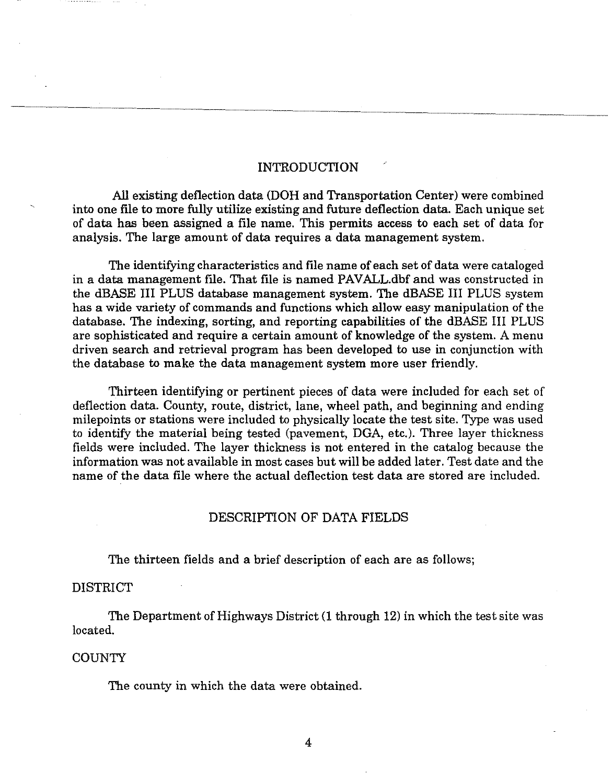#### INTRODUCTION

All existing deflection data (DOH and Transportation Center) were combined into one file to more fully utilize existing and future deflection data. Each unique set of data has been assigned a file name. This permits access to each set of data for analysis. The large amount of data requires a data management system.

The identifying characteristics and file name of each set of data were cataloged in a data management file. That file is named PAVALL.dbf and was constructed in the dBASE III PLUS database management system. The dBASE III PLUS system has a wide variety of commands and functions which allow easy manipulation of the database. The indexing, sorting, and reporting capabilities of the dBASE III PLUS are sophisticated and require a certain amount of knowledge of the system. A menu driven search and retrieval program has been developed to use in conjunction with the database to make the data management system more user friendly.

Thirteen identifying or pertinent pieces of data were included for each set of deflection data. County, route, district, lane, wheel path, and beginning and ending milepoints or stations were included to physically locate the test site. Type was used to identify the material being tested (pavement, DGA, etc.). Three layer thickness fields were included. The layer thickness is not entered in the catalog because the information was not available in most cases but will be added later. Test date and the name of the data file where the actual deflection test data are stored are included.

#### DESCRIPTION OF DATA FIELDS

The thirteen fields and a brief description of each are as follows;

### DISTRICT

The Department of Highways District (1 through 12) in which the test site was located.

#### COUNTY

The county in which the data were obtained.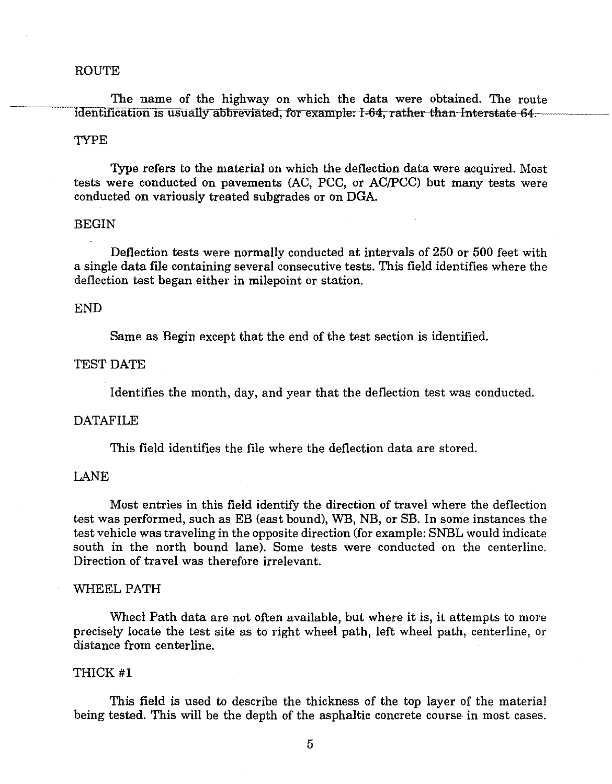#### ROUTE

The name of the highway on which the data were obtained. The route identification is usually abbreviated, for example: I-64, rather than Interstate-64.

#### TYPE

Type refers to the material on which the deflection data were acquired. Most tests were conducted on pavements (AC, PCC, or AC/PCC) but many tests were conducted on variously treated subgrades or on DGA.

#### BEGIN

Deflection tests were normally conducted at intervals of 250 or 500 feet with a single data file containing several consecutive tests. This field identifies where the deflection test began either in milepoint or station.

#### END

Same as Begin except that the end of the test section is identified.

#### TEST DATE

Identifies the month, day, and year that the deflection test was conducted.

#### DATAFILE

This field identifies the file where the deflection data are stored.

#### LANE

Most entries in this field identify the direction of travel where the deflection test was performed, such as EB (east bound), WB, NB, or SB. In some instances the test vehicle was traveling in the opposite direction (for example: SNBL would indicate south in the north bound lane). Some tests were conducted on the centerline. Direction of travel was therefore irrelevant.

#### WHEEL PATH

Wheel Path data are not often available, but where it is, it attempts to more precisely locate the test site as to right wheel path, left wheel path, centerline, or distance from centerline.

#### THICK #l

This field is used to describe the thickness of the top layer of the material being tested. This will be the depth of the asphaltic concrete course in most cases.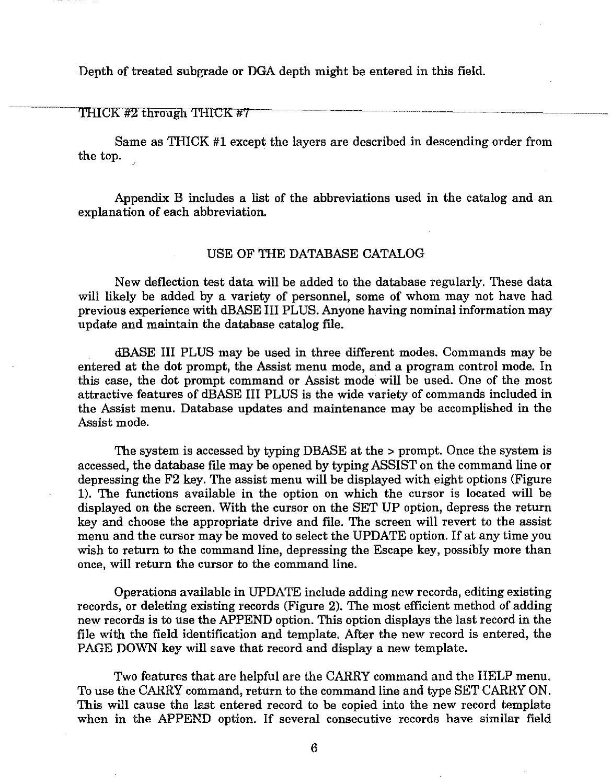Depth of treated subgrade or DGA depth might be entered in this field.

THICK  $#2$  through THICK  $#7$ 

Same as THICK #1 except the layers are described in descending order from the top.

Appendix B includes a list of the abbreviations used in the catalog and an explanation of each abbreviation.

#### USE OF THE DATABASE CATALOG

New deflection test data will be added to the database regularly. These data will likely be added by a variety of personnel, some of whom may not have had previous experience with dBASE III PLUS. Anyone having nominal information may update and maintain the database catalog file.

dBASE III PLUS may be used in three dilierent modes. Commands may be entered at the dot prompt, the Assist menu mode, and a program control mode. In this case, the dot prompt command or Assist mode will be used. One of the most attractive features of dBASE III PLUS is the wide variety of commands included in the Assist menu. Database updates and maintenance may be accomplished in the Assist mode.

The system is accessed by typing DBASE at the > prompt. Once the system is accessed, the database file may be opened by typing ASSIST on the command line or depressing the F2 key. The assist menu will be displayed with eight options (Figure 1). The functions available in the option on which the cursor is located will be displayed on the screen. With the cursor on the SET UP option, depress the return key and choose the appropriate drive and file. The screen will revert to the assist menu and the cursor may be moved to select the UPDATE option. If at any time you wish to return to the command line, depressing the Escape key, possibly more than once, will return the cursor to the command line.

Operations available in UPDATE include adding new records, editing existing records, or deleting existing records (Figure 2). The most efficient method of adding new records is to use the APPEND option. This option displays the last record in the file with the field identification and template. After the new record is entered, the PAGE DOWN key will save that record and display a new template.

Two features that are helpful are the CARRY command and the HELP menu. To use the CARRY command, return to the command line and type SET CARRY ON. This will cause the last entered record to be copied into the new record template when in the APPEND option. If several consecutive records have similar field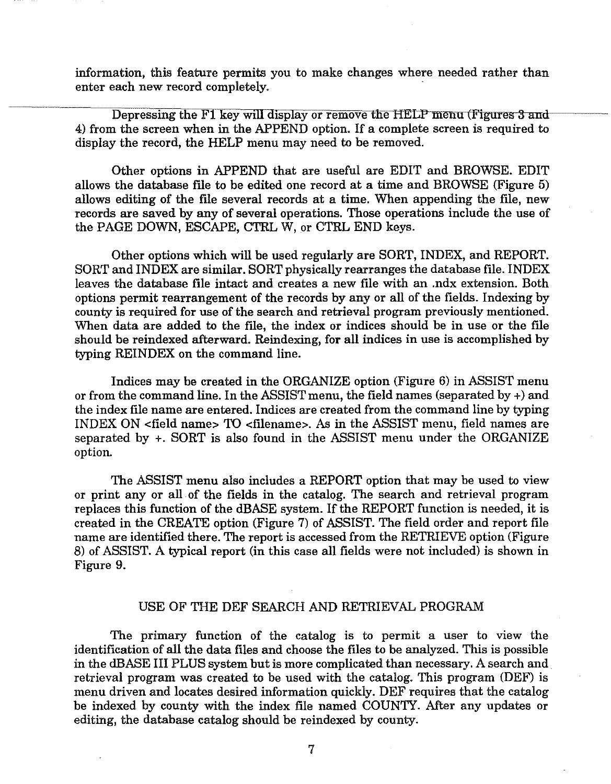information, this feature permits you to make changes where needed rather than enter each new record completely.

Depressing the F1 key will display or remove the HELP menu (Figures 3 and 4) from the screen when in the APPEND option. If a complete screen is required to display the record, the HELP menu may need to be removed.

Other options in APPEND that are useful are EDIT and BROWSE. EDIT allows the database flle to be edited one record at a time and BROWSE (Figure 5) allows editing of the file several records at a time. When appending the file, new records are saved by any of several operations. Those operations include the use of the PAGE DOWN, ESCAPE, CTRL W, or CTRL END keys.

Other options which will be used regularly are SORT, INDEX, and REPORT. SORT and INDEX are similar. SORT physically rearranges the database file. INDEX leaves the database file intact and creates a new file with an .ndx extension. Both options permit rearrangement of the records by any or all of the fields. Indexing by county is required for use of the search and retrieval program previously mentioned. When data are added to the flle, the index or indices should be in use or the file should be reindexed afterward. Reindexing, for all indices in use is accomplished by typing REINDEX on the command line.

Indices may be created in the ORGANIZE option (Figure 6) in ASSIST menu or from the command line. In the ASSIST menu, the field names (separated by  $+$ ) and the index file name are entered. Indices are created from the command line by typing INDEX ON <field name> TO <filename>. As in the ASSIST menu, field names are separated by +. SORT is also found in the ASSIST menu under the ORGANIZE option.

The ASSIST menu also includes a REPORT option that may be used to view or print any or all of the fields in the catalog. The search and retrieval program replaces this function of the dBASE system. If the REPORT function is needed, it is created in the CREATE option (Figure 7) of ASSIST. The field order and report file name are identified there. The report is accessed from the RETRIEVE option (Figure 8) of ASSIST. A typical report (in this case all fields were not included) is shown in Figure 9.

#### USE OF THE DEF SEARCH AND RETRIEVAL PROGRAM

The primary function of the catalog is to permit a user to view the identification of all the data files and choose the files to be analyzed. This is possible in the dBASE III PLUS system but is more complicated than necessary. A search and. retrieval program was created to be used with the catalog. This program (DEF) is menu driven and locates desired information quickly. DEF requires that the catalog be indexed by county with the index file named COUNTY. After any updates or editing, the database catalog should be reindexed by county.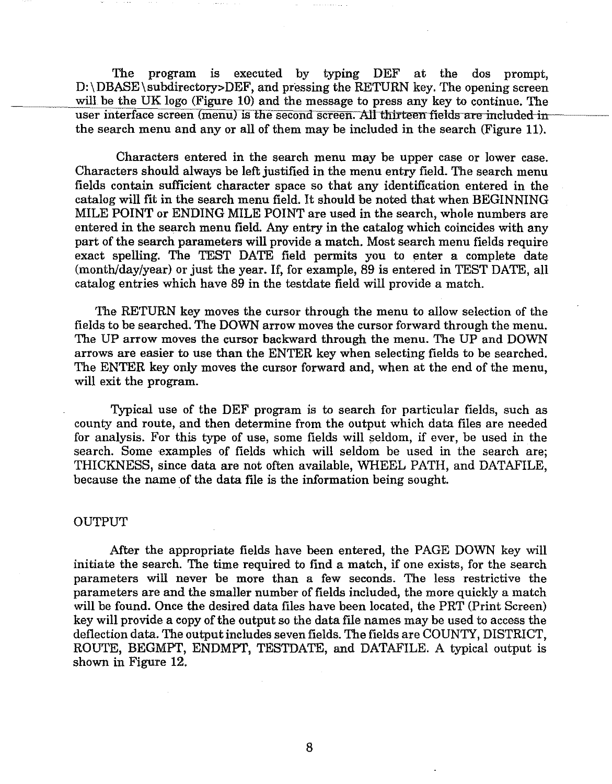The program is executed by typing DEF at the dos prompt,  $D:\D{DBASE\sub{subdirectory}DEF, and pressing the RETURN key. The opening screen}$ will be the UK logo (Figure 10) and the message to press any key to continue. The user interface screen (menu) is the second screen. All thirteen fields are included in the search menu and any or all of them may be included in the search (Figure 11).

Characters entered in the search menu may be upper case or lower case. Characters should always be left justified in the menu entry field. The search menu fields contain sufficient character space so that any identification entered in the catalog will fit in the search menu field. It should be noted that when BEGINNING MILE POINT or ENDING MILE POINT are used in the search, whole numbers are entered in the search menu field. Any entry in the catalog which coincides with any part of the search parameters will provide a match. Most search menu fields require exact spelling. The TEST DATE field permits you to enter a complete date (month/day/year) or just the year. If, for example, 89 is entered in TEST DATE, all catalog entries which have 89 in the testdate field will provide a match.

The RETURN key moves the cursor through the menu to allow selection of the fields to be searched. The DOWN arrow moves the cursor forward through the menu. The UP arrow moves the cursor backward through the menu. The UP and DOWN arrows are easier to use than the ENTER key when selecting fields to be searched. The ENTER key only moves the cursor forward and, when at the end of the menu, will exit the program.

Typical use of the DEF program is to search for particular fields, such as county and route, and then determine from the output which data files are needed for analysis. For this type of use, some fields will seldom, if ever, be used in the search. Some examples of fields which will seldom be used in the search are; THICKNESS, since data are not often available, WHEEL PATH, and DATAFILE, because the name of the data frle is the information being sought.

#### OUTPUT

After the appropriate fields have been entered, the PAGE DOWN key will initiate the search. The time required to find a match, if one exists, for the search parameters will never be more than a few seconds. The less restrictive the parameters are and the smaller number of fields included, the more quickly a match will be found. Once the desired data files have been located, the PRT (Print Screen) key will provide a copy of the output so the data file names may be used to access the deflection data. The output includes seven fields. The fields are COUNTY, DISTRICT, ROUTE, BEGMPT, ENDMPT, TESTDATE, and DATAFILE. A typical output is shown in Figure 12.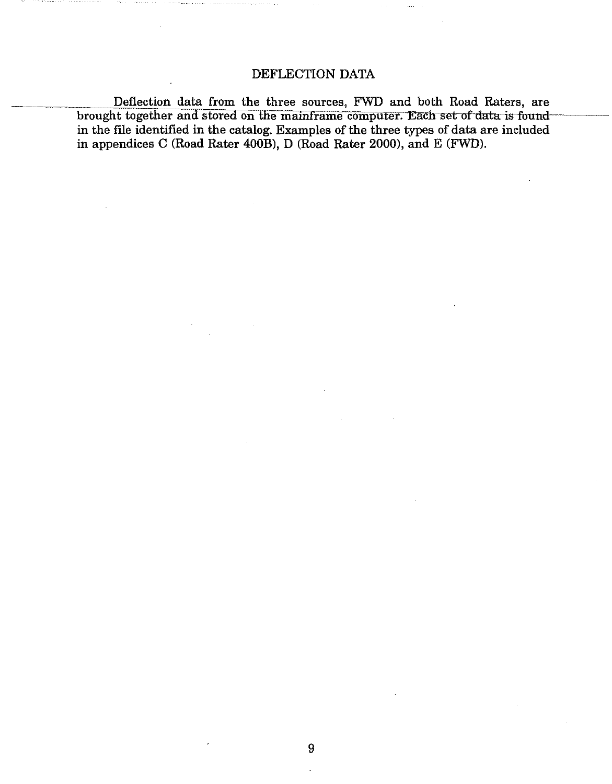### DEFLECTION DATA

Deflection data from the three sources, FWD and both Road Raters, are brought together and stored on the mainframe computer. Each set of data is in the file identified in the catalog. Examples of the three types of data are included in appendices C (Road Rater 400B), D (Road Rater 2000), and E (FWD).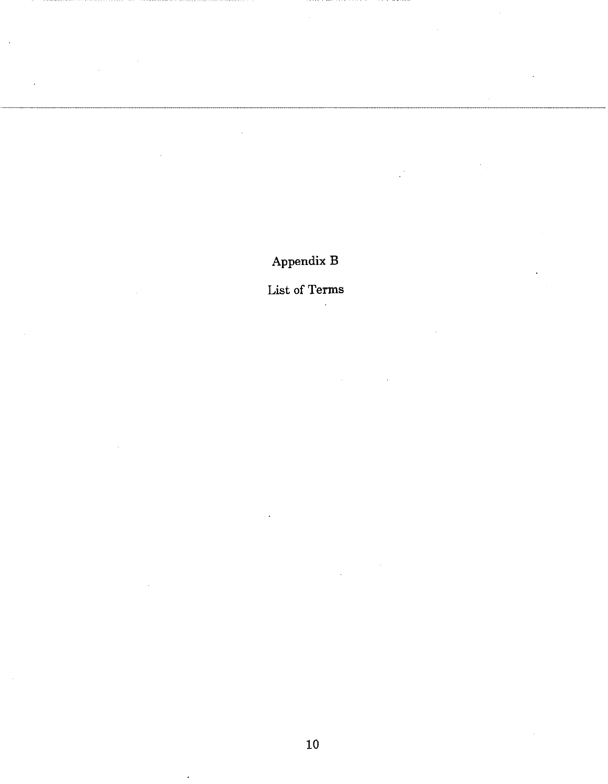# Appendix B

# List of Terms

 $\ddot{\phantom{a}}$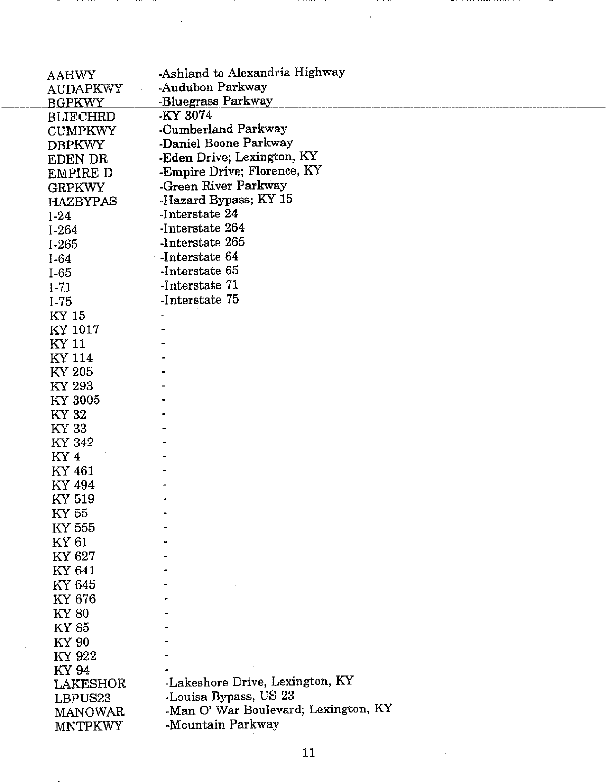| <b>AAHWY</b><br><b>AUDAPKWY</b><br><b>BGPKWY</b> | -Ashland to Alexandria Highway<br>-Audubon Parkway<br>-Bluegrass Parkway |
|--------------------------------------------------|--------------------------------------------------------------------------|
| <b>BLIECHRD</b>                                  | -KY 3074                                                                 |
| <b>CUMPKWY</b>                                   | -Cumberland Parkway                                                      |
| <b>DBPKWY</b>                                    | -Daniel Boone Parkway                                                    |
| EDEN DR                                          | -Eden Drive; Lexington, KY                                               |
| EMPIRE D                                         | -Empire Drive; Florence, KY                                              |
| <b>GRPKWY</b>                                    | -Green River Parkway<br>-Hazard Bypass; KY 15                            |
| <b>HAZBYPAS</b>                                  | -Interstate 24                                                           |
| $I-24$                                           | -Interstate 264                                                          |
| $I-264$                                          | -Interstate 265                                                          |
| $I-265$                                          | · -Interstate 64                                                         |
| $I-64$<br>$I-65$                                 | -Interstate 65                                                           |
| $I-71$                                           | -Interstate 71                                                           |
| $I-75$                                           | -Interstate 75                                                           |
| KY 15                                            |                                                                          |
| KY 1017                                          |                                                                          |
| KY 11                                            |                                                                          |
| KY 114                                           |                                                                          |
| KY 205                                           |                                                                          |
| KY 293                                           |                                                                          |
| KY 3005                                          |                                                                          |
| KY 32                                            |                                                                          |
| KY 33                                            |                                                                          |
| KY 342                                           |                                                                          |
| KY <sub>4</sub>                                  |                                                                          |
| KY 461                                           |                                                                          |
| KY 494                                           |                                                                          |
| KY 519                                           |                                                                          |
| KY 55                                            |                                                                          |
| KY 555                                           |                                                                          |
| KY 61<br>KY 627                                  |                                                                          |
| KY 641                                           |                                                                          |
| KY 645                                           |                                                                          |
| KY 676                                           |                                                                          |
| <b>KY 80</b>                                     |                                                                          |
| KY 85                                            |                                                                          |
| KY 90                                            |                                                                          |
| KY 922                                           |                                                                          |
| <b>KY 94</b>                                     |                                                                          |
| LAKESHOR                                         | -Lakeshore Drive, Lexington, KY                                          |
| LBPUS23                                          | -Louisa Bypass, US 23                                                    |
| <b>MANOWAR</b>                                   | -Man O' War Boulevard; Lexington, KY                                     |
| <b>MNTPKWY</b>                                   | -Mountain Parkway                                                        |

 $\hat{\boldsymbol{\theta}}$ 

 $\ddot{\phantom{a}}$ 

 $\sim 100$  km  $^{-1}$ 

 $\bar{\beta}$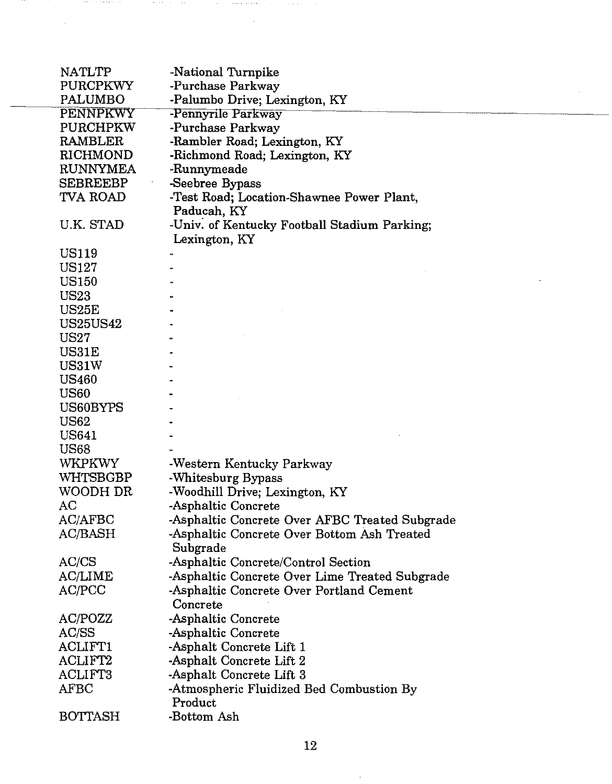| NATLTP          | -National Turnpike                             |
|-----------------|------------------------------------------------|
| PURCPKWY        | -Purchase Parkway                              |
| PALUMBO         | -Palumbo Drive; Lexington, KY                  |
| PENNPKWY        | -Pennyrile Parkway                             |
| PURCHPKW        | -Purchase Parkway                              |
| RAMBLER         | -Rambler Road; Lexington, KY                   |
| RICHMOND        | -Richmond Road; Lexington, KY                  |
| RUNNYMEA        | -Runnymeade                                    |
| SEBREEBP        | -Seebree Bypass                                |
| TVA ROAD        | -Test Road; Location-Shawnee Power Plant,      |
|                 | Paducah, KY                                    |
| U.K. STAD       | -Univ. of Kentucky Football Stadium Parking;   |
|                 | Lexington, KY                                  |
| <b>US119</b>    |                                                |
| US127           |                                                |
| <b>US150</b>    |                                                |
| US23            |                                                |
| US25E           |                                                |
| <b>US25US42</b> |                                                |
| US27            |                                                |
| US31E           |                                                |
| US31W           |                                                |
| <b>US460</b>    |                                                |
| <b>US60</b>     |                                                |
| US60BYPS        |                                                |
| <b>US62</b>     |                                                |
| US641           |                                                |
| <b>US68</b>     |                                                |
| WKPKWY          | -Western Kentucky Parkway                      |
| WHTSBGBP        | -Whitesburg Bypass                             |
| WOODH DR        | -Woodhill Drive; Lexington, KY                 |
| AC              | -Asphaltic Concrete                            |
| AC/AFBC         | -Asphaltic Concrete Over AFBC Treated Subgrade |
| AC/BASH         | -Asphaltic Concrete Over Bottom Ash Treated    |
|                 | Subgrade                                       |
| AC/CS           | -Asphaltic Concrete/Control Section            |
| AC/LIME         | -Asphaltic Concrete Over Lime Treated Subgrade |
| AC/PCC          | -Asphaltic Concrete Over Portland Cement       |
|                 | Concrete                                       |
| AC/POZZ         | -Asphaltic Concrete                            |
| AC/SS           | -Asphaltic Concrete                            |
| ACLIFT1         | -Asphalt Concrete Lift 1                       |
| ACLIFT2         | -Asphalt Concrete Lift 2                       |
| ACLIFT3         | -Asphalt Concrete Lift 3                       |
| <b>AFBC</b>     | -Atmospheric Fluidized Bed Combustion By       |
|                 | Product                                        |
| <b>BOTTASH</b>  | -Bottom Ash                                    |

 $\sim$   $\sim$ 

 $\sim$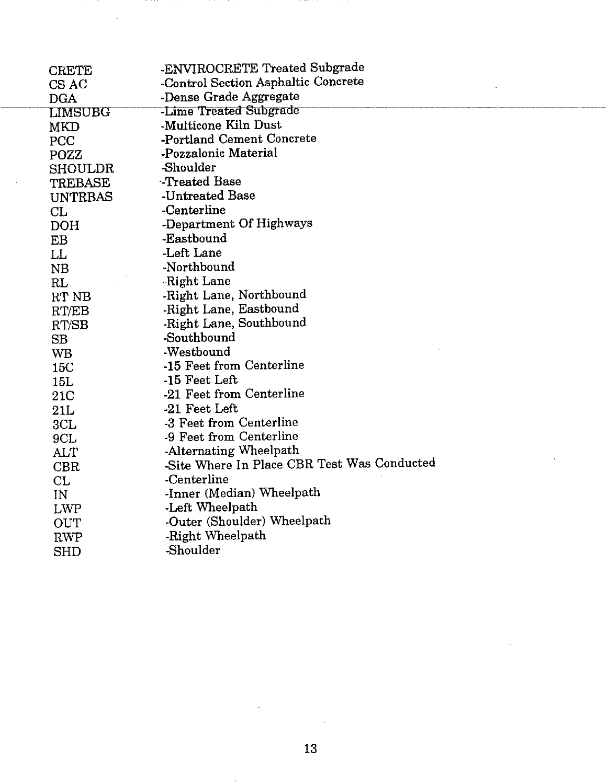| $\rm CREF$          | -ENVIROCRETE Treated Subgrade               |
|---------------------|---------------------------------------------|
| $\mathop{\rm CSAC}$ | -Control Section Asphaltic Concrete         |
| $\rm{DGA}$          | -Dense Grade Aggregate                      |
| LIMSUBG             | -Lime Treated Subgrade                      |
| MKD                 | -Multicone Kiln Dust                        |
| PCC                 | -Portland Cement Concrete                   |
| POZZ                | -Pozzalonic Material                        |
| SHOULDR             | -Shoulder                                   |
| TREBASE             | -Treated Base                               |
| <b>UNTRBAS</b>      | -Untreated Base                             |
| CL                  | -Centerline                                 |
| <b>DOH</b>          | -Department Of Highways                     |
| EB                  | -Eastbound                                  |
| LL                  | -Left Lane                                  |
| NB                  | -Northbound                                 |
| RL                  | -Right Lane                                 |
| RT NB               | -Right Lane, Northbound                     |
| RT/EB               | -Right Lane, Eastbound                      |
| RT/SB               | -Right Lane, Southbound                     |
| SB                  | -Southbound                                 |
| WB                  | -Westbound                                  |
| 15C                 | -15 Feet from Centerline                    |
| 15L                 | -15 Feet Left                               |
| 21C                 | -21 Feet from Centerline                    |
| 21L                 | -21 Feet Left                               |
| 3CL                 | -3 Feet from Centerline                     |
| 9CL                 | -9 Feet from Centerline                     |
| ALT                 | -Alternating Wheelpath                      |
| <b>CBR</b>          | -Site Where In Place CBR Test Was Conducted |
| CL                  | -Centerline                                 |
| IN                  | -Inner (Median) Wheelpath                   |
| LWP                 | -Left Wheelpath                             |
| OUT                 | -Outer (Shoulder) Wheelpath                 |
| <b>RWP</b>          | -Right Wheelpath                            |
| <b>SHD</b>          | -Shoulder                                   |
|                     |                                             |

 $\sim$   $\sim$ 

 $\bar{z}$ 

 $\sim$ 

 $\bar{\gamma}$ 

 $\bar{z}$ 

 $\bar{z}$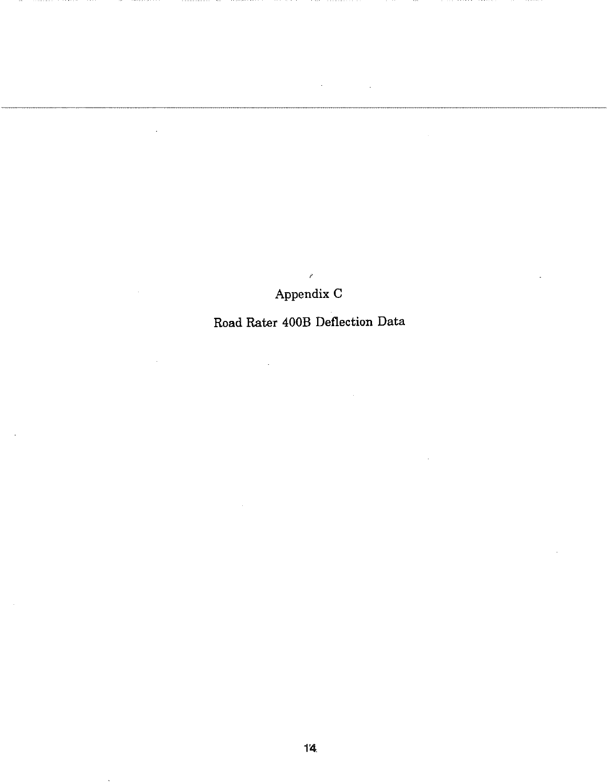## $\vec{P}$ Appendix C

l.

J.

### Road Rater 400B Deflection Data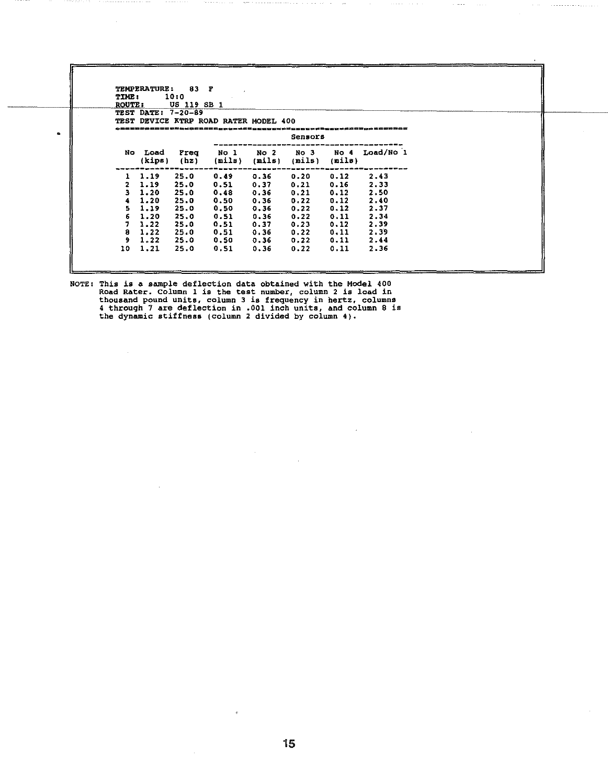| <b>ROUTE:</b>  | <b>TEST DATE: 7-20-89</b> | US 119 SB 1  |                                       |                           |                           |        |                |  |
|----------------|---------------------------|--------------|---------------------------------------|---------------------------|---------------------------|--------|----------------|--|
|                |                           |              | TEST DEVICE KTRP ROAD RATER MODEL 400 |                           |                           |        |                |  |
|                |                           |              |                                       |                           | Sensors                   |        |                |  |
|                |                           |              |                                       |                           |                           |        |                |  |
| No .           | Load<br>(kips)            | Freq<br>(hz) | No 1<br>(mils)                        | No <sub>2</sub><br>(nils) | No <sub>3</sub><br>(mils) | (mils) | No 4 Load/No 1 |  |
| ъ.             | 1.19                      | 25.0         | 0.49                                  | 0.36                      | 0.20                      | 0.12   | 2.43           |  |
| $\overline{2}$ | 1.19                      | 25.0         | 0.51                                  | 0.37                      | 0.21                      | 0.16   | 2.33           |  |
| з.             | 1.20                      | 25.0         | 0.48                                  | 0.36                      | 0.21                      | 0.12   | 2.50           |  |
| 4              | 1.20                      | 25.0         | 0.50                                  | 0.36                      | 0.22                      | 0.12   | 2.40           |  |
| 5.             | 1.19                      | 25.0         | 0.50                                  | 0.36                      | 0.22                      | 0.12   | 2.37           |  |
| 6              | 1.20                      | 25.0         | 0.51                                  | 0.36                      | 0.22                      | 0.11   | 2.34           |  |
| 7.             | 1.22                      | 25.0         | 0.51                                  | 0.37                      | 0.23                      | 0.12   | 2.39           |  |
| 8              | 1.22                      | 25.0         | 0.51                                  | 0.36                      | 0.22                      | 0.11   | 2.39           |  |
| 9.             | 1.22                      | 25.0         | 0.50                                  | 0.36                      | 0.22                      | 0.11   | 2.44           |  |
| 10             | 1.21                      | 25.0         | 0.51                                  | 0.36                      | 0.22                      | 0.11   | 2.36           |  |

NOTE: This is a sample deflection data obtained with the Model 400 Road Rater. Column 1 *is* the test number, column 2 is load in thousand pound units, column 3 is frequency in hertz, columns 4 through 7 are deflection in .001 inch units, and column 8 is the dynamic stiffness (column 2 divided by column 4).

 $\bullet$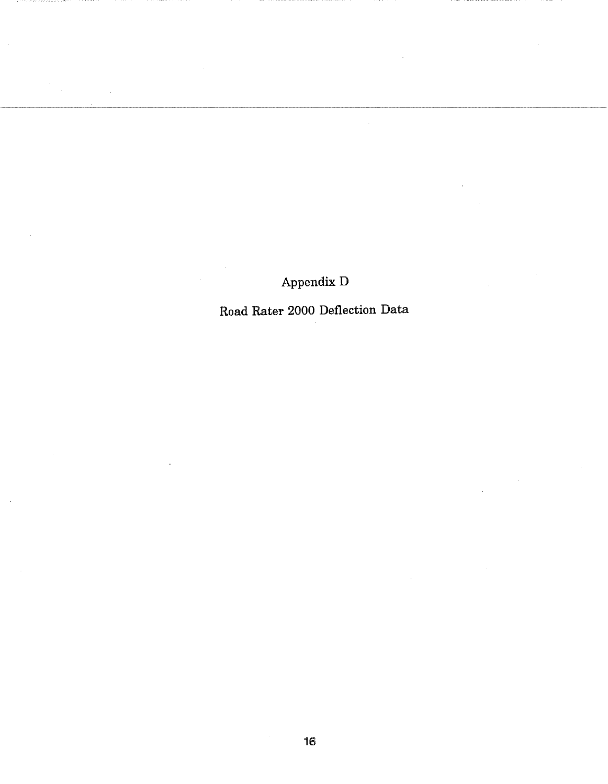Appendix D

Road Rater 2000 Deflection Data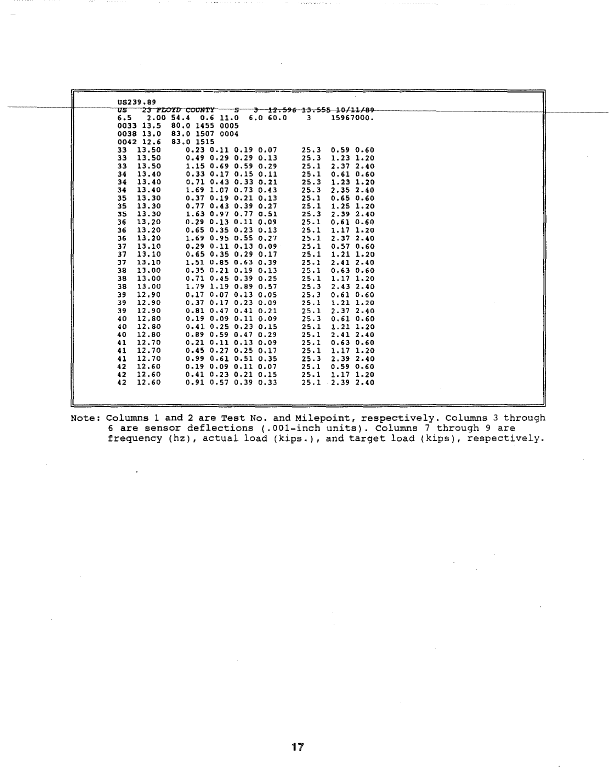| एडा                      | 23 PLOYD COUNTY             | $-3$ $-12.596$ $13.555$ $10/11/89$ |  |
|--------------------------|-----------------------------|------------------------------------|--|
| 6.5                      | 2.00 54.4 0.6 11.0 6.0 60.0 | 15967000.<br>3.                    |  |
| 0033 13.5                | 80.0 1455 0005              |                                    |  |
| 0038 13.0                | 83.0 1507 0004              |                                    |  |
| 0042 12.6                | 83.0 1515                   |                                    |  |
| 13.50<br>33.             | $0.23$ $0.11$ $0.19$ $0.07$ | 25.3<br>0.590.60                   |  |
| 13.50<br>33              | $0.49$ $0.29$ $0.29$ $0.13$ | 25.3<br>$1.23$ $1.20$              |  |
| 13.50<br>33              | $1.15$ 0.69 0.59 0.29       | 25.1<br>2,37,2,40                  |  |
| 13.40<br>34              | $0.33$ $0.17$ $0.15$ $0.11$ | 25.1<br>0.610.60                   |  |
| 34<br>13.40              | $0.71$ $0.43$ $0.33$ $0.21$ | 25.3<br>$1.23$ $1.20$              |  |
| 13.40<br>34              | 1.69 1.07 0.73 0.43         | 25.3<br>2.352.40                   |  |
| 13.30<br>35              | $0.37$ $0.19$ $0.21$ $0.13$ | 25.1<br>0.650.60                   |  |
| 13.30<br>35              | $0.77$ $0.43$ $0.39$ $0.27$ | 25.1<br>$1.25$ $1.20$              |  |
| 13.30<br>35              | 1.63 0.97 0.77 0.51         | 25.3<br>2.392.40                   |  |
| 13.20<br>36              | $0.29$ $0.13$ $0.11$ $0.09$ | 25.1<br>0.610.60                   |  |
| 13.20<br>36              | $0.65$ $0.35$ $0.23$ $0.13$ | 25.1<br>$1.17$ $1.20$              |  |
| 13.20<br>36              | $1.69$ 0.95 0.55 0.27       | 25.1<br>2.372.40                   |  |
| 13.10<br>37              | $0.29$ $0.11$ $0.13$ $0.09$ | 25.1<br>0.570.60                   |  |
| 37<br>13.10              | $0.65$ $0.35$ $0.29$ $0.17$ | 25.1<br>$1.21$ $1.20$              |  |
| 13.10<br>37              | 1.51 0.85 0.63 0.39         | 25.1<br>2.412.40                   |  |
| 38<br>13.00              | $0.35$ $0.21$ $0.19$ $0.13$ | 25.1<br>0.630.60                   |  |
| 13.00<br>38              | $0.71$ $0.45$ $0.39$ $0.25$ | 25.1<br>1.17 1.20                  |  |
| 13.00<br>38              | $1.79$ 1.19 0.89 0.57       | 25.3<br>2.432.40                   |  |
| 12.90<br>39              | $0.17$ $0.07$ $0.13$ $0.05$ | 25.3<br>0.610.60                   |  |
| 12,90<br>39              | $0.37$ $0.17$ $0.23$ $0.09$ | 25.1<br>$1.21$ $1.20$              |  |
| 12.90<br>39              | $0.81$ $0.47$ $0.41$ $0.21$ | 25.1<br>2.372.40                   |  |
| 12.80<br>40              | $0.19$ $0.09$ $0.11$ $0.09$ | 25.3<br>0.610.60                   |  |
| 12.80<br>40              | $0.41$ $0.25$ $0.23$ $0.15$ | 25.1<br>$1.21$ $1.20$              |  |
| 12.80<br>40.             | $0.89$ $0.59$ $0.47$ $0.29$ | 25.1<br>2.412.40                   |  |
| 12.70<br>41              | $0.21$ $0.11$ $0.13$ $0.09$ | 25.1<br>0.630.60                   |  |
| 12.70<br>41              | $0.45$ $0.27$ $0.25$ $0.17$ | 25.1<br>1.17 1.20                  |  |
| 12.70<br>41              | $0.99$ $0.61$ $0.51$ $0.35$ | 25.3<br>2.392.40                   |  |
| 12.60<br>42              | $0.19$ $0.09$ $0.11$ $0.07$ | 25.1<br>0.590.60                   |  |
| 12 <sub>1</sub><br>12.60 | $0.41$ $0.23$ $0.21$ $0.15$ | 25.1<br>$1.17$ 1.20                |  |
| 42<br>12.60              | $0.91$ $0.57$ $0.39$ $0.33$ | $25.1$ $2.39$ $2.40$               |  |

Note: Columns 1 and 2 are Test No. and Milepoint, respectively. Columns 3 through 6 are sensor deflections (.001-inch units). Columns 7 through 9 are frequency (hz), actual load (kips.), and target load (kips), respectively.

 $\lambda$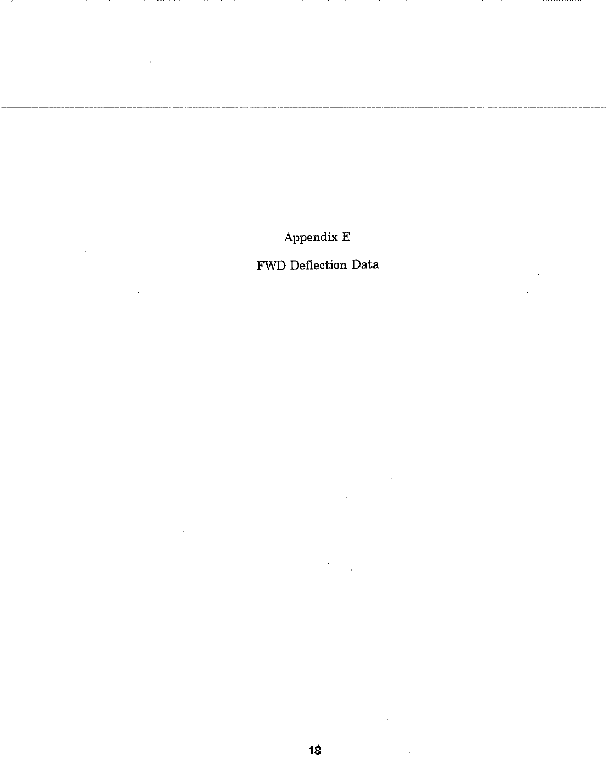Appendix E

FWD Deflection Data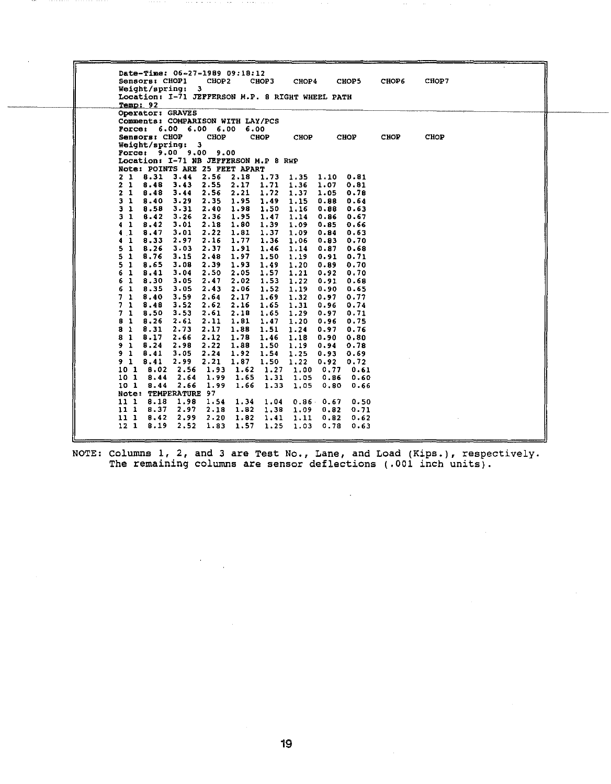| Sensors; CHOP1<br>CHOP5<br>CHOP2<br>СНОР З<br>CHOP4<br><b>CHOP6</b><br>CHOP7<br>Weight/spring: 3<br>Location: I-71 JEFFERSON M.P. 8 RIGHT WHEEL PATH |  |
|------------------------------------------------------------------------------------------------------------------------------------------------------|--|
| Temp: 92                                                                                                                                             |  |
| Operator: GRAVES                                                                                                                                     |  |
| Comments: COMPARISON WITH LAY/PCS                                                                                                                    |  |
| Porce: 6.00 6.00 6.00<br>6.00                                                                                                                        |  |
| Sensors: CHOP<br>CHOP<br><b>CHOP</b><br>CHOP<br><b>CHOP</b><br><b>CHOP</b><br><b>CHOP</b>                                                            |  |
| Weight/spring: 3<br>Porce: 9.00 9.00 9.00                                                                                                            |  |
| Location: I-71 NB JEFFERSON M.P 8 RWP                                                                                                                |  |
| Note: POINTS ARE 25 FEET APART                                                                                                                       |  |
| 8.31<br>$3.44$ 2.56 2.18<br>21<br>1.73 1.35<br>1.10<br>0.81                                                                                          |  |
| 8.48<br>2.55<br>2.17<br>1.71<br>2 <sub>1</sub><br>3.43<br>1.36<br>1.07<br>0.81                                                                       |  |
| 2.56<br>2<br>1<br>B.48<br>3.44<br>2.21<br>1.72<br>1.37<br>1.05<br>0.78                                                                               |  |
| 3 <sub>1</sub><br>8.40<br>1.95<br>1.49<br>1.15<br>3.29<br>2.35<br>0.88<br>0.64                                                                       |  |
| 8.58<br>2.40 1.98<br>1.50<br>1<br>3.31<br>1.16<br>0.88<br>0.63<br>з                                                                                  |  |
| -1<br>8.42<br>$3 - 26$<br>2.36 1.95<br>1.47<br>1.14<br>0.B6<br>0.67<br>3                                                                             |  |
| 8.42<br>1.39<br>1<br>3.01<br>$2.18$ 1.80<br>1.09<br>0.66<br>0.85<br>4                                                                                |  |
| 2.22 1.81<br>1<br>8,47<br>3.01<br>1.37<br>1.09<br>0.63<br>0.84<br>4                                                                                  |  |
| 2.16<br>1.77<br>1<br>8.33<br>2.97<br>1.36<br>0.70<br>1.06<br>0.83<br>4                                                                               |  |
| 5<br>1<br>B.26<br>3.03<br>2.37<br>1.91<br>1.46<br>0.87<br>0.68<br>1.14                                                                               |  |
| 5<br>-1<br>8.76<br>$2.48$ 1.97<br>1.50<br>3.15<br>1.19<br>0.91<br>0.71                                                                               |  |
| 5.<br>1<br>8.65<br>3.08<br>2.39<br>1.93<br>1.49<br>0.70<br>1.20<br>0.89                                                                              |  |
| 8.41<br>3.04<br>2.50 2.05<br>1.57<br>1.21<br>6<br>1<br>0.92<br>0.70<br>2.02<br>1.53<br>1<br>3.05                                                     |  |
| 8.30<br>2.47<br>1.22<br>0.91<br>0.68<br>6<br>2.06<br>6<br>1<br>8.35<br>3.05<br>2.43<br>1.52<br>1.19<br>0.65<br>0.90                                  |  |
| 8.40<br>2.64<br>2.17<br>1.69<br>71<br>3.59<br>1.32<br>0.97<br>0.77                                                                                   |  |
| 8.48<br>3.52<br>2.62<br>2.16<br>1.65<br>0.74<br>7.<br>1<br>1.31<br>0.96                                                                              |  |
| 71<br>8.50<br>3.53<br>$2.61$ $2.18$<br>1.65<br>1.29<br>0.71<br>0.97                                                                                  |  |
| 1<br>8.26<br>2.11<br>1.81<br>1.47<br>1.20<br>0.96<br>0.75<br>8<br>2.61                                                                               |  |
| 2.73<br>0.76<br>8<br>-1<br>8.31<br>2.17<br>1.88<br>1.51<br>1.24<br>0.97                                                                              |  |
| -1<br>8.17<br>2.66<br>2.12<br>1.78<br>8<br>1.46<br>1.18<br>0.90<br>0.80                                                                              |  |
| 8.24<br>2.98<br>2.22<br>1.88<br>1.50<br>0.78<br>9<br>-1<br>1.19<br>0.94                                                                              |  |
| 8.41<br>2.24<br>1.92<br>1.54<br>9<br>1<br>3.05<br>1.25<br>0.93<br>0.69                                                                               |  |
| 8.41<br>2.99<br>2.21<br>1.87<br>1.50<br>91<br>1.22<br>0.72<br>0.92                                                                                   |  |
| 2.56<br>1.62<br>10 1<br>8.02<br>1.93<br>1.27<br>1.00<br>0.77<br>0.61                                                                                 |  |
| 2.64<br>1.99<br>1.65<br>1.31<br>10 1<br>8.44<br>1.05<br>0.86<br>0.60                                                                                 |  |
| 10 1<br>8.44<br>2.66<br>1.99<br>1.66<br>1.33<br>1.05<br>0.80<br>0.66                                                                                 |  |
| Note: TEMPERATURE 97                                                                                                                                 |  |
| 8.18<br>1.98<br>1.54<br>11 1<br>1.34<br>1.04<br>$0.86$ 0.67<br>0.50                                                                                  |  |
| 8.37<br>2.97<br>1.82<br>1.38<br>111<br>2.18<br>1.09<br>0.82<br>0.71                                                                                  |  |
| 8.42<br>2.99<br>2.20<br>11 1<br>1.82<br>1.41<br>1.11<br>0.82<br>0.62<br>2.52<br>1.57<br>12 <sub>1</sub><br>8.19<br>1.83<br>1.25<br>1.03              |  |

NOTE: Columns 1, 2, and 3 are Test No., Lane, and Load (Kips.), respectively. The remaining columns are sensor deflections (.001 inch units).

 $\ddot{\phantom{a}}$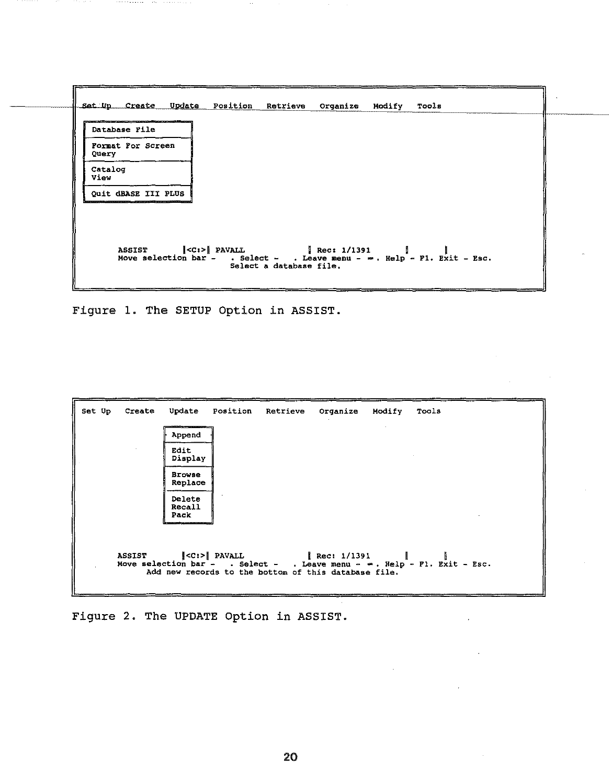

Figure 1. The SETUP Option in ASSIST.

| Set Up | Create        |                                                     |  | Update Position Retrieve Organize Modify Tools                                                                            |                                                                             |
|--------|---------------|-----------------------------------------------------|--|---------------------------------------------------------------------------------------------------------------------------|-----------------------------------------------------------------------------|
|        |               | <b>MARKET AND RESIDENCE AND RESIDENCE</b><br>Append |  |                                                                                                                           |                                                                             |
|        |               | Edit<br>Display                                     |  |                                                                                                                           |                                                                             |
|        |               | <b>Browse</b><br>Replace                            |  |                                                                                                                           |                                                                             |
|        |               | Delete<br>Recall<br>Pack                            |  |                                                                                                                           |                                                                             |
|        | <b>ASSIST</b> |                                                     |  | $\vert \langle C \colon \rangle \vert$ PAVALL $\vert$ Rec: 1/1391<br>Add new records to the bottom of this database file. | Move selection bar - . Select - . Leave menu - $m$ . Help - Fl. Exit - Esc. |

Figure 2. The UPDATE Option in ASSIST.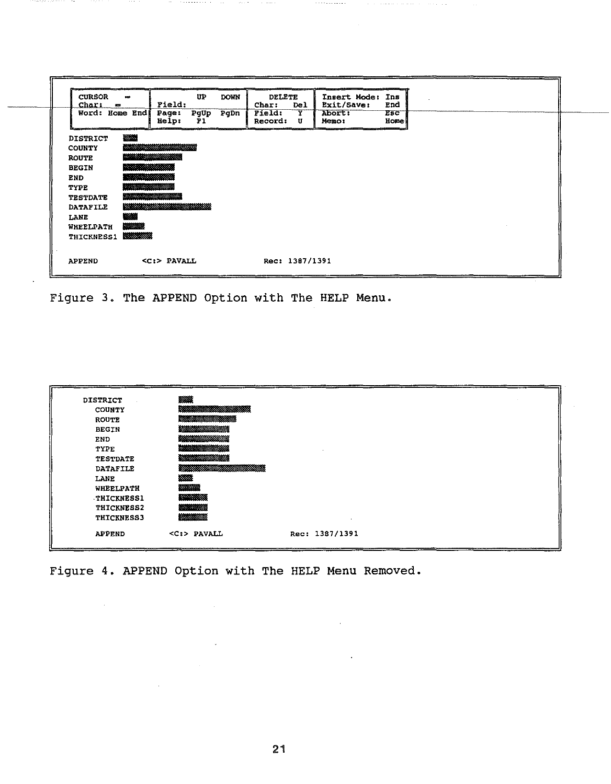| <b>CURSOR</b><br>Char:<br>- 200 | 500                            | Field:                       | UP         | <b>DOWN</b> | <b>DELETE</b><br>Char:   | Del    | Insert Mode:<br>Exit/Save: | Ins<br>End                |  |  |  |
|---------------------------------|--------------------------------|------------------------------|------------|-------------|--------------------------|--------|----------------------------|---------------------------|--|--|--|
| Word: Home End                  |                                | <b>Page:</b><br><b>Help:</b> | PgUp<br>P1 | PgDn        | Field:<br><b>Record:</b> | Y<br>U | Abort:<br>Memo:            | <b>Esc</b><br><b>Home</b> |  |  |  |
| <b>DISTRICT</b>                 | 18200                          |                              |            |             |                          |        |                            |                           |  |  |  |
| <b>COUNTY</b>                   |                                |                              |            |             |                          |        |                            |                           |  |  |  |
| <b>ROUTE</b>                    |                                |                              |            |             |                          |        |                            |                           |  |  |  |
| <b>BEGIN</b>                    | <b>Processibility</b>          |                              |            |             |                          |        |                            |                           |  |  |  |
| <b>END</b>                      |                                |                              |            |             |                          |        |                            |                           |  |  |  |
| <b>TYPE</b>                     | <b>Increased Avenue</b>        |                              |            |             |                          |        |                            |                           |  |  |  |
| <b>TESTDATE</b>                 | <b>Service Company Company</b> |                              |            |             |                          |        |                            |                           |  |  |  |
| <b>DATAFILE</b>                 |                                |                              |            |             |                          |        |                            |                           |  |  |  |
| LANE                            | <b>图像</b>                      |                              |            |             |                          |        |                            |                           |  |  |  |
| WHEELPATH                       | 经验检验                           |                              |            |             |                          |        |                            |                           |  |  |  |
| <b>THICKNESS1</b>               | <b>RESIDENT</b>                |                              |            |             |                          |        |                            |                           |  |  |  |
| <b>APPEND</b>                   |                                | $c$ :> PAVALL                |            |             | Rec: 1387/1391           |        |                            |                           |  |  |  |

Figure 3. The APPEND Option with The HELP Menu.

| <b>DISTRICT</b>   | ▒▓                          |                |
|-------------------|-----------------------------|----------------|
| <b>COUNTY</b>     |                             |                |
| <b>ROUTE</b>      |                             |                |
| <b>BEGIN</b>      | <b>Market School School</b> |                |
| END.              |                             |                |
| TYPE              |                             |                |
| <b>TESTDATE</b>   |                             |                |
| <b>DATAFILE</b>   |                             |                |
| LANE              | 22223                       |                |
| WHEELPATH         | 2000000000                  |                |
| <b>THICKNESS1</b> | <b>Management</b>           |                |
| <b>THICKNESS2</b> |                             |                |
| <b>THICKNESS3</b> | 120122302                   |                |
| <b>APPEND</b>     | $<$ C:> PAVALL              | Rec: 1387/1391 |

Figure 4. APPEND Option with The HELP Menu Removed.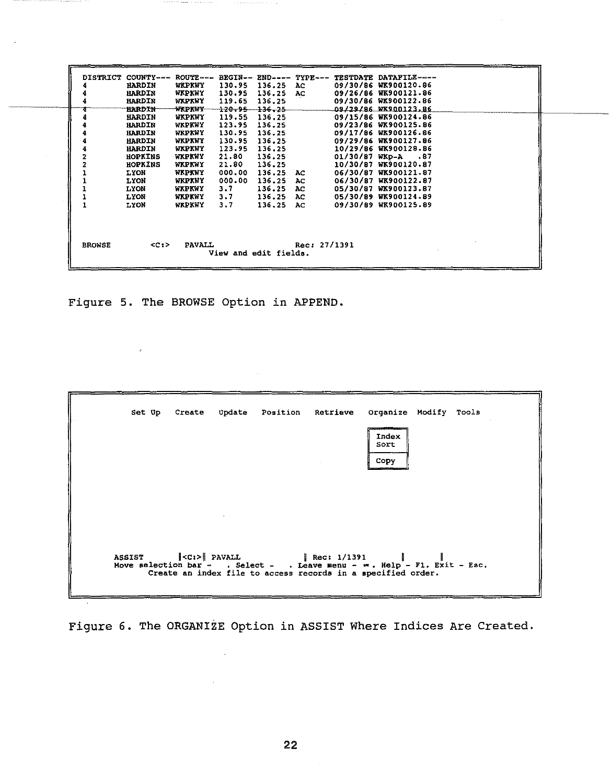| <b>DISTRICT</b> | COUNTY---      | $ROUTE - - -$ |                          |        | BEGIN-- END---- TYPE--- | TESTDATE DATAFILE---- |
|-----------------|----------------|---------------|--------------------------|--------|-------------------------|-----------------------|
|                 | <b>HARDIN</b>  | WKPKWY        | 130.95                   | 136.25 | AC.                     | 09/30/86 WK900120.86  |
|                 | <b>HARDIN</b>  | WKPKWY        | 130.95                   | 136.25 | AC                      | 09/26/86 WK900121.86  |
|                 | <b>HARDIN</b>  | WKPKWY        | 119.65                   | 136.25 |                         | 09/30/86 WK900122.86  |
|                 | <b>HARDIN</b>  | ******        | <del>120.95 136.25</del> |        |                         | 09/29/86 WK900123.86  |
|                 | HARDIN         | WKPKWY        | 119.55                   | 136.25 |                         | 09/15/86 WK900124.86  |
|                 | <b>HARDIN</b>  | WKPKWY        | 123.95                   | 136.25 |                         | 09/23/86 WK900125.86  |
|                 | <b>HARDIN</b>  | WKPKWY        | 130.95                   | 136.25 |                         | 09/17/86 WK900126.86  |
|                 | <b>HARDIN</b>  | WKPKWY        | 130.95                   | 136.25 |                         | 09/29/86 WK900127.86  |
|                 | <b>HARDIN</b>  | WKPKWY        | 123.95                   | 136,25 |                         | 10/29/86 WK900128.86  |
|                 | <b>HOPKINS</b> | WKPKWY        | 21.80                    | 136.25 |                         | $01/30/87$ WKp-A .87  |
|                 | HOPKINS        | WKPKWY        | 21.80                    | 136.25 |                         | 10/30/87 WK900120.87  |
|                 | LYON           | WKPKWY        | 000.00                   | 136.25 | AC.                     | 06/30/87 WK900121.87  |
|                 | <b>LYON</b>    | WKPKWY        | 000.00                   | 136.25 | AC                      | 06/30/87 WK900122.87  |
|                 | <b>TAON</b>    | WKPKWY        | 3.7                      | 136.25 | AC.                     | 05/30/87 WK900123.87  |
|                 | <b>LYON</b>    | WKPKWY        | 3.7                      | 136.25 | AC.                     | 05/30/89 WK900124.89  |
|                 | LYON           | WKPKWY        | 3.7                      | 136.25 | AC.                     | 09/30/89 WK900125.89  |
|                 |                |               |                          |        |                         |                       |
| <b>BROWSE</b>   | CC12           | <b>PAVALL</b> |                          |        | Rec: 27/1391            |                       |
|                 |                |               | View and edit fields.    |        |                         |                       |

Figure 5. The BROWSE Option in APPEND.

 $\sim$   $\sim$ 

 $\bar{\ell}$ 

| Index<br>Sort<br>Copy                                                                                                                                             |
|-------------------------------------------------------------------------------------------------------------------------------------------------------------------|
|                                                                                                                                                                   |
|                                                                                                                                                                   |
|                                                                                                                                                                   |
|                                                                                                                                                                   |
|                                                                                                                                                                   |
| Rec: $1/1391$<br>Move selection bar - . Select - . Leave menu - $\infty$ . Help - F1. Exit - Esc.<br>Create an index file to access records in a specified order. |
|                                                                                                                                                                   |

Figure 6. The ORGANIZE Option in ASSIST Where Indices Are Created.

 $\mathcal{A}$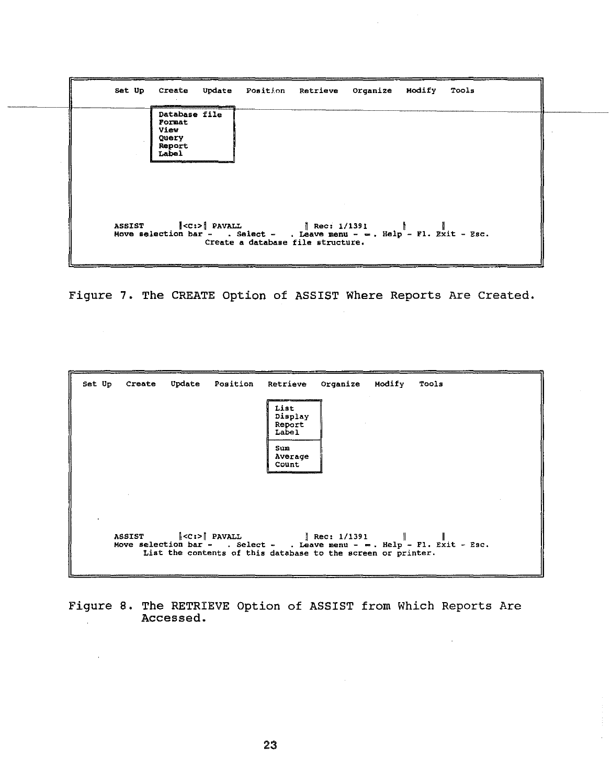

Figure 7. The CREATE Option of ASSIST Where Reports Are Created.

 $\sim 10^7$ 

 $\bar{z}$ 

| Update<br>Set Up<br>Create                                    | Position Retrieve Organize Modify<br>Tools                                                                                                                       |
|---------------------------------------------------------------|------------------------------------------------------------------------------------------------------------------------------------------------------------------|
|                                                               | and an anti-state of the control of the control<br>List<br>Display<br>Report<br>Label                                                                            |
|                                                               | Sum<br>Average<br>Count                                                                                                                                          |
|                                                               |                                                                                                                                                                  |
| ASSIST $\ \langle C;\rangle\ $ PAVALL $\ \text{Rec: } 1/1391$ | $\mathbf{I}$<br>Move selection bar - . Select - . Leave menu - $\infty$ . Help - Fl. Exit - Esc.<br>List the contents of this database to the screen or printer. |

Figure 8. The RETRIEVE Option of ASSIST from Which Reports Are Accessed.  $\mathcal{L}^{\mathcal{L}}$ 

 $\mathcal{L}$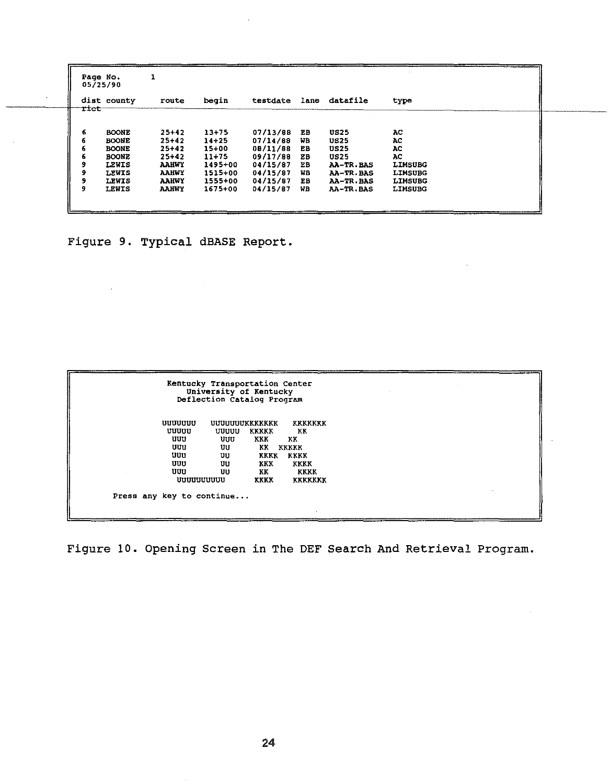|   | Page No.<br>05/25/90 |              |              |           |          |    |               |                |  |
|---|----------------------|--------------|--------------|-----------|----------|----|---------------|----------------|--|
|   |                      | dist county  | route        | begin     | testdate |    | lane datafile | type           |  |
|   | <i>rict</i>          |              |              |           |          |    |               |                |  |
| 6 |                      | <b>BOONE</b> | $25 + 42$    | $13 + 75$ | 07/13/88 | EB | <b>US25</b>   | AC             |  |
| 6 |                      | <b>BOONE</b> | $25+42$      | $14 + 25$ | 07/14/88 | WВ | <b>US25</b>   | AC             |  |
| 6 |                      | <b>BOONE</b> | $25 + 42$    | $15+00$   | 08/11/88 | ЕB | <b>US25</b>   | AC.            |  |
| 6 |                      | <b>BOONE</b> | $25 + 42$    | $11 + 75$ | 09/17/88 | EB | <b>US25</b>   | АC             |  |
| 9 |                      | LEWIS        | <b>AAHWY</b> | 1495+00   | 04/15/87 | FВ | AA-TR.BAS     | <b>LIMSUBG</b> |  |
| 9 |                      | LEWIS        | <b>AAHWY</b> | 1515+00   | 04/15/87 | WB | AA-TR.BAS     | <b>LIMSUBG</b> |  |
|   |                      | LEWIS        | <b>AAHWY</b> | 1555+00   | 04/15/87 | EВ | AA-TR.BAS     | <b>LIMSUBG</b> |  |
| 9 |                      | LEWIS        | <b>AAHWY</b> | 1675+00   | 04/15/87 | WB | AA-TR.BAS     | <b>LIMSUBG</b> |  |

Figure 9. Typical dBASE Report.

 $\sim$ 

 $\overline{\phantom{a}}$ 

| Kentucky Transportation Center<br>University of Kentucky<br>Deflection Catalog Program |                                      |                                                                         |                                                                                     |  |  |  |
|----------------------------------------------------------------------------------------|--------------------------------------|-------------------------------------------------------------------------|-------------------------------------------------------------------------------------|--|--|--|
| uuuuuu<br>uuuu<br>បបប<br>บบบ<br>UUU<br>UUU<br>បបប<br><b>UUUUUUUUUU</b>                 | uuuu<br>บบบ<br>បប<br>UU<br>UU<br>UU. | UUUUUUUKKKKKKK<br>KKKKK<br>KKK<br>KK<br><b>KKK</b><br>KK<br><b>KKKK</b> | <b>KKKKKKK</b><br>KK<br>KK<br>KKKKK<br>KKKK KKKK<br>KKKK<br>KKKK<br><b>KKKKKKKK</b> |  |  |  |
| Press any key to continue                                                              |                                      |                                                                         |                                                                                     |  |  |  |

Figure 10. Opening Screen in The DEF Search And Retrieval Program.